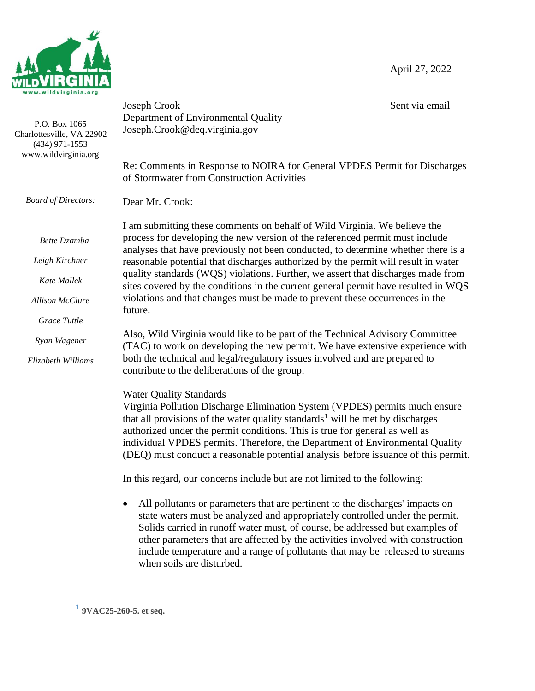April 27, 2022



| P.O. Box 1065<br>Charlottesville, VA 22902<br>$(434)$ 971-1553<br>www.wildvirginia.org | Joseph Crook<br>Department of Environmental Quality<br>Joseph.Crook@deq.virginia.gov                                                                                                                                                                                                                                                                                                                                                                            | Sent via email |
|----------------------------------------------------------------------------------------|-----------------------------------------------------------------------------------------------------------------------------------------------------------------------------------------------------------------------------------------------------------------------------------------------------------------------------------------------------------------------------------------------------------------------------------------------------------------|----------------|
|                                                                                        | Re: Comments in Response to NOIRA for General VPDES Permit for Discharges<br>of Stormwater from Construction Activities                                                                                                                                                                                                                                                                                                                                         |                |
| <b>Board of Directors:</b>                                                             | Dear Mr. Crook:                                                                                                                                                                                                                                                                                                                                                                                                                                                 |                |
| Bette Dzamba                                                                           | I am submitting these comments on behalf of Wild Virginia. We believe the<br>process for developing the new version of the referenced permit must include                                                                                                                                                                                                                                                                                                       |                |
| Leigh Kirchner                                                                         | analyses that have previously not been conducted, to determine whether there is a<br>reasonable potential that discharges authorized by the permit will result in water                                                                                                                                                                                                                                                                                         |                |
| Kate Mallek                                                                            | quality standards (WQS) violations. Further, we assert that discharges made from<br>sites covered by the conditions in the current general permit have resulted in WQS                                                                                                                                                                                                                                                                                          |                |
| <b>Allison McClure</b>                                                                 | violations and that changes must be made to prevent these occurrences in the<br>future.                                                                                                                                                                                                                                                                                                                                                                         |                |
| <b>Grace Tuttle</b>                                                                    |                                                                                                                                                                                                                                                                                                                                                                                                                                                                 |                |
| Ryan Wagener                                                                           | Also, Wild Virginia would like to be part of the Technical Advisory Committee<br>(TAC) to work on developing the new permit. We have extensive experience with                                                                                                                                                                                                                                                                                                  |                |
| Elizabeth Williams                                                                     | both the technical and legal/regulatory issues involved and are prepared to<br>contribute to the deliberations of the group.                                                                                                                                                                                                                                                                                                                                    |                |
|                                                                                        | <b>Water Quality Standards</b><br>Virginia Pollution Discharge Elimination System (VPDES) permits much ensure<br>that all provisions of the water quality standards <sup>1</sup> will be met by discharges<br>authorized under the permit conditions. This is true for general as well as<br>individual VPDES permits. Therefore, the Department of Environmental Quality<br>(DEQ) must conduct a reasonable potential analysis before issuance of this permit. |                |
|                                                                                        | In this regard, our concerns include but are not limited to the following:                                                                                                                                                                                                                                                                                                                                                                                      |                |
|                                                                                        | All pollutants or parameters that are pertinent to the discharges' impacts on<br>state waters must be analyzed and appropriately controlled under the permit.<br>Solids carried in runoff water must, of course, be addressed but examples of<br>other parameters that are affected by the activities involved with construction                                                                                                                                |                |

include temperature and a range of pollutants that may be released to streams

when soils are disturbed.

<sup>1</sup> **9VAC25-260-5. et seq.**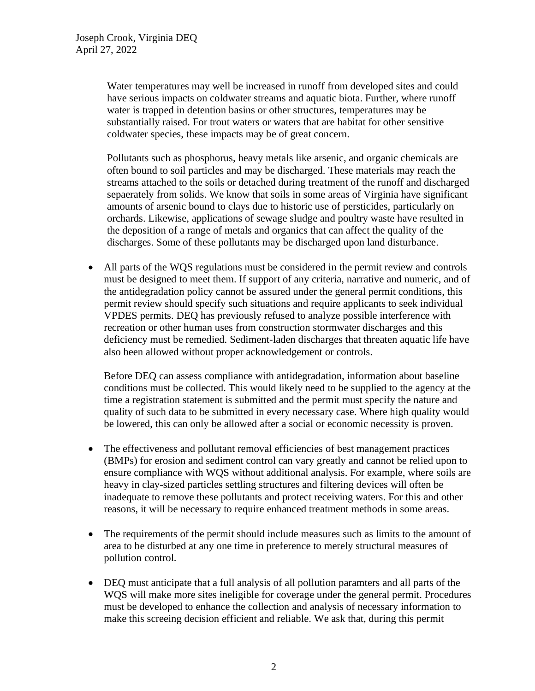Water temperatures may well be increased in runoff from developed sites and could have serious impacts on coldwater streams and aquatic biota. Further, where runoff water is trapped in detention basins or other structures, temperatures may be substantially raised. For trout waters or waters that are habitat for other sensitive coldwater species, these impacts may be of great concern.

Pollutants such as phosphorus, heavy metals like arsenic, and organic chemicals are often bound to soil particles and may be discharged. These materials may reach the streams attached to the soils or detached during treatment of the runoff and discharged sepaerately from solids. We know that soils in some areas of Virginia have significant amounts of arsenic bound to clays due to historic use of persticides, particularly on orchards. Likewise, applications of sewage sludge and poultry waste have resulted in the deposition of a range of metals and organics that can affect the quality of the discharges. Some of these pollutants may be discharged upon land disturbance.

• All parts of the WQS regulations must be considered in the permit review and controls must be designed to meet them. If support of any criteria, narrative and numeric, and of the antidegradation policy cannot be assured under the general permit conditions, this permit review should specify such situations and require applicants to seek individual VPDES permits. DEQ has previously refused to analyze possible interference with recreation or other human uses from construction stormwater discharges and this deficiency must be remedied. Sediment-laden discharges that threaten aquatic life have also been allowed without proper acknowledgement or controls.

Before DEQ can assess compliance with antidegradation, information about baseline conditions must be collected. This would likely need to be supplied to the agency at the time a registration statement is submitted and the permit must specify the nature and quality of such data to be submitted in every necessary case. Where high quality would be lowered, this can only be allowed after a social or economic necessity is proven.

- The effectiveness and pollutant removal efficiencies of best management practices (BMPs) for erosion and sediment control can vary greatly and cannot be relied upon to ensure compliance with WQS without additional analysis. For example, where soils are heavy in clay-sized particles settling structures and filtering devices will often be inadequate to remove these pollutants and protect receiving waters. For this and other reasons, it will be necessary to require enhanced treatment methods in some areas.
- The requirements of the permit should include measures such as limits to the amount of area to be disturbed at any one time in preference to merely structural measures of pollution control.
- DEQ must anticipate that a full analysis of all pollution paramters and all parts of the WQS will make more sites ineligible for coverage under the general permit. Procedures must be developed to enhance the collection and analysis of necessary information to make this screeing decision efficient and reliable. We ask that, during this permit